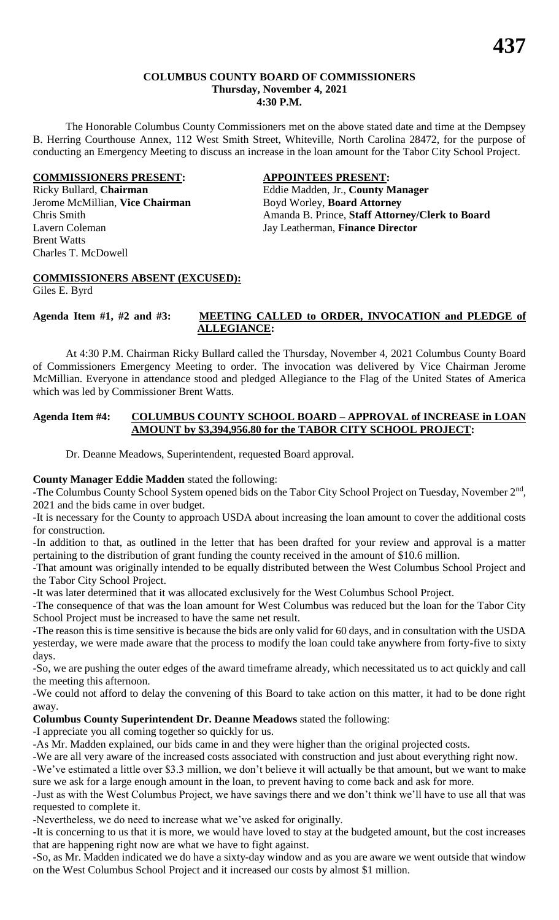#### **COLUMBUS COUNTY BOARD OF COMMISSIONERS Thursday, November 4, 2021 4:30 P.M.**

The Honorable Columbus County Commissioners met on the above stated date and time at the Dempsey B. Herring Courthouse Annex, 112 West Smith Street, Whiteville, North Carolina 28472, for the purpose of conducting an Emergency Meeting to discuss an increase in the loan amount for the Tabor City School Project.

#### **COMMISSIONERS PRESENT: APPOINTEES PRESENT:**

Jerome McMillian, **Vice Chairman** Boyd Worley, **Board Attorney** Lavern Coleman Jay Leatherman, **Finance Director** Brent Watts Charles T. McDowell

Ricky Bullard, **Chairman** Eddie Madden, Jr., **County Manager** Chris Smith Amanda B. Prince, **Staff Attorney/Clerk to Board**

# **COMMISSIONERS ABSENT (EXCUSED):**

Giles E. Byrd

#### **Agenda Item #1, #2 and #3: MEETING CALLED to ORDER, INVOCATION and PLEDGE of ALLEGIANCE:**

At 4:30 P.M. Chairman Ricky Bullard called the Thursday, November 4, 2021 Columbus County Board of Commissioners Emergency Meeting to order. The invocation was delivered by Vice Chairman Jerome McMillian. Everyone in attendance stood and pledged Allegiance to the Flag of the United States of America which was led by Commissioner Brent Watts.

#### **Agenda Item #4: COLUMBUS COUNTY SCHOOL BOARD – APPROVAL of INCREASE in LOAN AMOUNT by \$3,394,956.80 for the TABOR CITY SCHOOL PROJECT:**

Dr. Deanne Meadows, Superintendent, requested Board approval.

## **County Manager Eddie Madden** stated the following:

**-**The Columbus County School System opened bids on the Tabor City School Project on Tuesday, November 2nd , 2021 and the bids came in over budget.

-It is necessary for the County to approach USDA about increasing the loan amount to cover the additional costs for construction.

-In addition to that, as outlined in the letter that has been drafted for your review and approval is a matter pertaining to the distribution of grant funding the county received in the amount of \$10.6 million.

-That amount was originally intended to be equally distributed between the West Columbus School Project and the Tabor City School Project.

-It was later determined that it was allocated exclusively for the West Columbus School Project.

-The consequence of that was the loan amount for West Columbus was reduced but the loan for the Tabor City School Project must be increased to have the same net result.

-The reason this is time sensitive is because the bids are only valid for 60 days, and in consultation with the USDA yesterday, we were made aware that the process to modify the loan could take anywhere from forty-five to sixty days.

-So, we are pushing the outer edges of the award timeframe already, which necessitated us to act quickly and call the meeting this afternoon.

-We could not afford to delay the convening of this Board to take action on this matter, it had to be done right away.

**Columbus County Superintendent Dr. Deanne Meadows** stated the following:

-I appreciate you all coming together so quickly for us.

-As Mr. Madden explained, our bids came in and they were higher than the original projected costs.

-We are all very aware of the increased costs associated with construction and just about everything right now.

-We've estimated a little over \$3.3 million, we don't believe it will actually be that amount, but we want to make sure we ask for a large enough amount in the loan, to prevent having to come back and ask for more.

-Just as with the West Columbus Project, we have savings there and we don't think we'll have to use all that was requested to complete it.

-Nevertheless, we do need to increase what we've asked for originally.

-It is concerning to us that it is more, we would have loved to stay at the budgeted amount, but the cost increases that are happening right now are what we have to fight against.

-So, as Mr. Madden indicated we do have a sixty-day window and as you are aware we went outside that window on the West Columbus School Project and it increased our costs by almost \$1 million.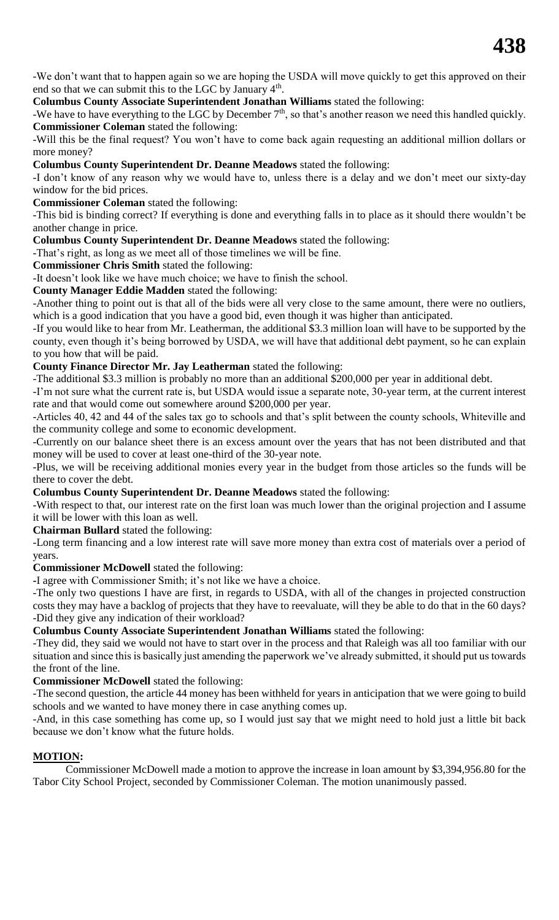-We don't want that to happen again so we are hoping the USDA will move quickly to get this approved on their end so that we can submit this to the LGC by January  $4<sup>th</sup>$ .

**Columbus County Associate Superintendent Jonathan Williams** stated the following:

-We have to have everything to the LGC by December 7<sup>th</sup>, so that's another reason we need this handled quickly. **Commissioner Coleman** stated the following:

-Will this be the final request? You won't have to come back again requesting an additional million dollars or more money?

**Columbus County Superintendent Dr. Deanne Meadows** stated the following:

-I don't know of any reason why we would have to, unless there is a delay and we don't meet our sixty-day window for the bid prices.

**Commissioner Coleman** stated the following:

-This bid is binding correct? If everything is done and everything falls in to place as it should there wouldn't be another change in price.

**Columbus County Superintendent Dr. Deanne Meadows** stated the following:

-That's right, as long as we meet all of those timelines we will be fine.

**Commissioner Chris Smith** stated the following:

-It doesn't look like we have much choice; we have to finish the school.

**County Manager Eddie Madden** stated the following:

-Another thing to point out is that all of the bids were all very close to the same amount, there were no outliers, which is a good indication that you have a good bid, even though it was higher than anticipated.

-If you would like to hear from Mr. Leatherman, the additional \$3.3 million loan will have to be supported by the county, even though it's being borrowed by USDA, we will have that additional debt payment, so he can explain to you how that will be paid.

#### **County Finance Director Mr. Jay Leatherman** stated the following:

-The additional \$3.3 million is probably no more than an additional \$200,000 per year in additional debt.

-I'm not sure what the current rate is, but USDA would issue a separate note, 30-year term, at the current interest rate and that would come out somewhere around \$200,000 per year.

-Articles 40, 42 and 44 of the sales tax go to schools and that's split between the county schools, Whiteville and the community college and some to economic development.

-Currently on our balance sheet there is an excess amount over the years that has not been distributed and that money will be used to cover at least one-third of the 30-year note.

-Plus, we will be receiving additional monies every year in the budget from those articles so the funds will be there to cover the debt.

**Columbus County Superintendent Dr. Deanne Meadows** stated the following:

-With respect to that, our interest rate on the first loan was much lower than the original projection and I assume it will be lower with this loan as well.

**Chairman Bullard** stated the following:

-Long term financing and a low interest rate will save more money than extra cost of materials over a period of years.

**Commissioner McDowell** stated the following:

**-**I agree with Commissioner Smith; it's not like we have a choice.

-The only two questions I have are first, in regards to USDA, with all of the changes in projected construction costs they may have a backlog of projects that they have to reevaluate, will they be able to do that in the 60 days? -Did they give any indication of their workload?

**Columbus County Associate Superintendent Jonathan Williams** stated the following:

-They did, they said we would not have to start over in the process and that Raleigh was all too familiar with our situation and since this is basically just amending the paperwork we've already submitted, it should put us towards the front of the line.

**Commissioner McDowell** stated the following:

-The second question, the article 44 money has been withheld for years in anticipation that we were going to build schools and we wanted to have money there in case anything comes up.

-And, in this case something has come up, so I would just say that we might need to hold just a little bit back because we don't know what the future holds.

## **MOTION:**

Commissioner McDowell made a motion to approve the increase in loan amount by \$3,394,956.80 for the Tabor City School Project, seconded by Commissioner Coleman. The motion unanimously passed.